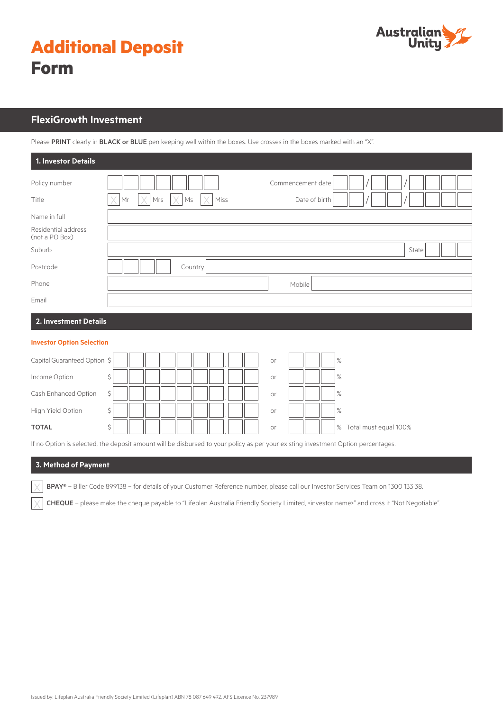

| <b>Additional Deposit</b> |  |
|---------------------------|--|
| <b>Form</b>               |  |

# **FlexiGrowth Investment**

Please PRINT clearly in BLACK or BLUE pen keeping well within the boxes. Use crosses in the boxes marked with an "X".

| 1. Investor Details                   |                              |                   |  |
|---------------------------------------|------------------------------|-------------------|--|
| Policy number                         |                              | Commencement date |  |
| Title                                 | X<br>Miss<br>Ms<br>Mrs<br>Mr | Date of birth     |  |
| Name in full                          |                              |                   |  |
| Residential address<br>(not a PO Box) |                              |                   |  |
| Suburb                                |                              | State             |  |
| Postcode                              | Country                      |                   |  |
| Phone                                 |                              | Mobile            |  |
| Email                                 |                              |                   |  |
| --                                    |                              |                   |  |

# **2. Investment Details**

#### **Investor Option Selection**

| Capital Guaranteed Option \$ |    |  |  |  | or |  | %                       |
|------------------------------|----|--|--|--|----|--|-------------------------|
| Income Option                |    |  |  |  | or |  | $\%$                    |
| Cash Enhanced Option         | Ś. |  |  |  | or |  | %                       |
| High Yield Option            |    |  |  |  | or |  | $\%$                    |
| <b>TOTAL</b>                 |    |  |  |  | or |  | % Total must equal 100% |

If no Option is selected, the deposit amount will be disbursed to your policy as per your existing investment Option percentages.

# **3. Method of Payment**

BPAY® – Biller Code 899138 – for details of your Customer Reference number, please call our Investor Services Team on 1300 133 38.

CHEQUE - please make the cheque payable to "Lifeplan Australia Friendly Society Limited, <investor name>" and cross it "Not Negotiable".